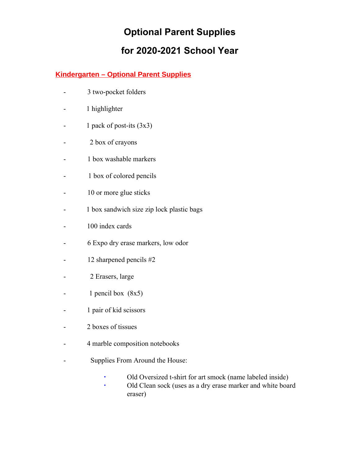#### **Kindergarten – Optional Parent Supplies**

- 3 two-pocket folders
- 1 highlighter
- 1 pack of post-its (3x3)
- 2 box of crayons
- 1 box washable markers
- 1 box of colored pencils
- 10 or more glue sticks
- 1 box sandwich size zip lock plastic bags
- 100 index cards
- 6 Expo dry erase markers, low odor
- 12 sharpened pencils #2
- 2 Erasers, large
- 1 pencil box (8x5)
- 1 pair of kid scissors
- 2 boxes of tissues
- 4 marble composition notebooks
- Supplies From Around the House:
	- Old Oversized t-shirt for art smock (name labeled inside)
	- Old Clean sock (uses as a dry erase marker and white board eraser)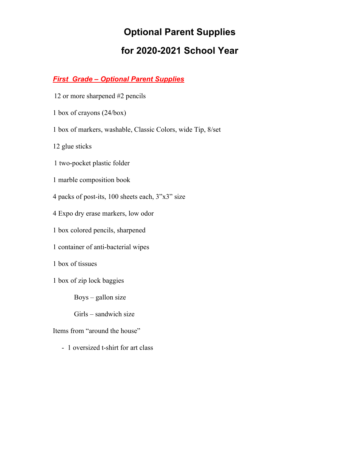### *First Grade – Optional Parent Supplies*

- 12 or more sharpened #2 pencils
- 1 box of crayons (24/box)
- 1 box of markers, washable, Classic Colors, wide Tip, 8/set

12 glue sticks

- 1 two-pocket plastic folder
- 1 marble composition book
- 4 packs of post-its, 100 sheets each, 3"x3" size
- 4 Expo dry erase markers, low odor
- 1 box colored pencils, sharpened
- 1 container of anti-bacterial wipes
- 1 box of tissues
- 1 box of zip lock baggies
	- Boys gallon size
	- Girls sandwich size
- Items from "around the house"
	- 1 oversized t-shirt for art class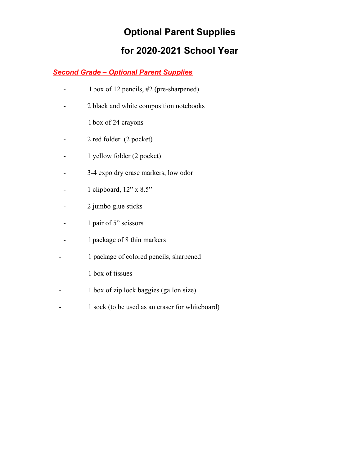### *Second Grade – Optional Parent Supplies*

- 1 box of 12 pencils, #2 (pre-sharpened)
- 2 black and white composition notebooks
- 1 box of 24 crayons
- 2 red folder (2 pocket)
- 1 yellow folder (2 pocket)
- 3-4 expo dry erase markers, low odor
- $-$  1 clipboard,  $12$ " x  $8.5$ "
- 2 jumbo glue sticks
- 1 pair of 5" scissors
- 1 package of 8 thin markers
- 1 package of colored pencils, sharpened
- 1 box of tissues
- 1 box of zip lock baggies (gallon size)
- 1 sock (to be used as an eraser for whiteboard)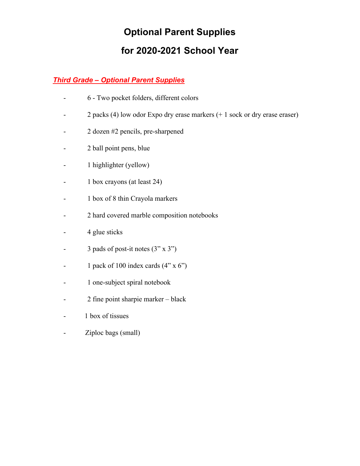### *Third Grade – Optional Parent Supplies*

- 6 Two pocket folders, different colors
- 2 packs (4) low odor Expo dry erase markers (+ 1 sock or dry erase eraser)
- 2 dozen #2 pencils, pre-sharpened
- 2 ball point pens, blue
- 1 highlighter (yellow)
- 1 box crayons (at least 24)
- 1 box of 8 thin Crayola markers
- 2 hard covered marble composition notebooks
- 4 glue sticks
- 3 pads of post-it notes (3" x 3")
- 1 pack of 100 index cards  $(4" \times 6")$
- 1 one-subject spiral notebook
- 2 fine point sharpie marker black
- 1 box of tissues
- Ziploc bags (small)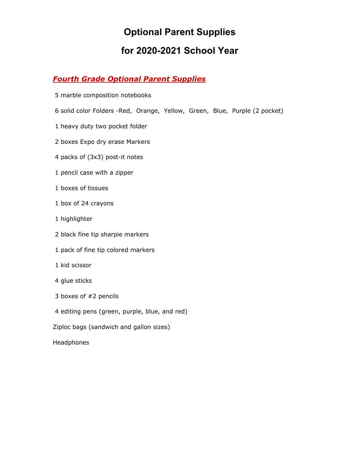### *Fourth Grade Optional Parent Supplies*

- marble composition notebooks
- solid color Folders -Red, Orange, Yellow, Green, Blue, Purple (2 pocket)
- heavy duty two pocket folder
- boxes Expo dry erase Markers
- packs of (3x3) post-it notes
- pencil case with a zipper
- boxes of tissues
- box of 24 crayons
- highlighter
- black fine tip sharpie markers
- pack of fine tip colored markers
- kid scissor
- glue sticks
- boxes of #2 pencils
- editing pens (green, purple, blue, and red)
- Ziploc bags (sandwich and gallon sizes)
- Headphones